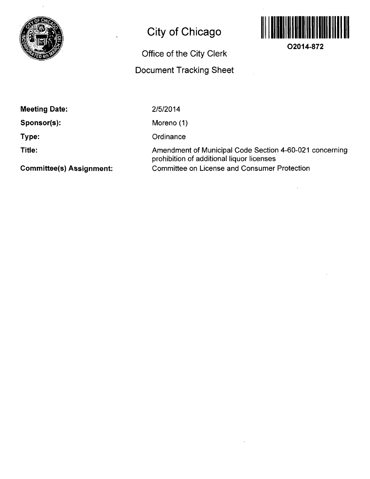

# **City of Chicago**

## **Office of the City Clerk**

### **Document Tracking Sheet**



**O2014-872** 

**Meeting Date:** 

**Sponsor(s):** 

**Type:** 

**Title:** 

2/5/2014

Moreno (1)

**Ordinance** 

Amendment of Municipal Code Section 4-60-021 concerning prohibition of additional liquor licenses Committee on License and Consumer Protection

**Committee(s) Assignment:**